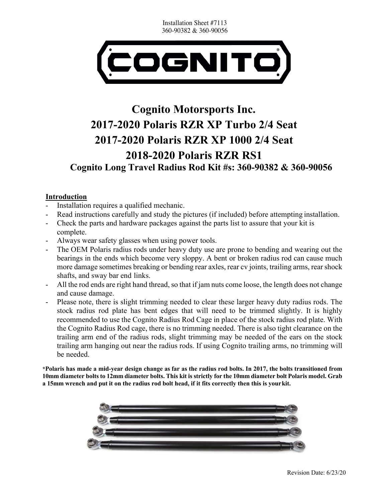Installation Sheet #7113 360-90382 & 360-90056



# **Cognito Motorsports Inc. 2017-2020 Polaris RZR XP Turbo 2/4 Seat 2017-2020 Polaris RZR XP 1000 2/4 Seat 2018-2020 Polaris RZR RS1 Cognito Long Travel Radius Rod Kit #s: 360-90382 & 360-90056**

## **Introduction**

- Installation requires a qualified mechanic.
- Read instructions carefully and study the pictures (if included) before attempting installation.
- Check the parts and hardware packages against the parts list to assure that your kit is complete.
- Always wear safety glasses when using power tools.
- The OEM Polaris radius rods under heavy duty use are prone to bending and wearing out the bearings in the ends which become very sloppy. A bent or broken radius rod can cause much more damage sometimes breaking or bending rear axles, rear cv joints, trailing arms, rear shock shafts, and sway bar end links.
- All the rod ends are right hand thread, so that if jam nuts come loose, the length does not change and cause damage.
- Please note, there is slight trimming needed to clear these larger heavy duty radius rods. The stock radius rod plate has bent edges that will need to be trimmed slightly. It is highly recommended to use the Cognito Radius Rod Cage in place of the stock radius rod plate. With the Cognito Radius Rod cage, there is no trimming needed. There is also tight clearance on the trailing arm end of the radius rods, slight trimming may be needed of the ears on the stock trailing arm hanging out near the radius rods. If using Cognito trailing arms, no trimming will be needed.

**\*Polaris has made a mid-year design change as far as the radius rod bolts. In 2017, the bolts transitioned from 10mm diameter bolts to 12mm diameter bolts. This kit is strictly for the 10mm diameter bolt Polaris model. Grab a 15mm wrench and put it on the radius rod bolt head, if it fits correctly then this is yourkit.**

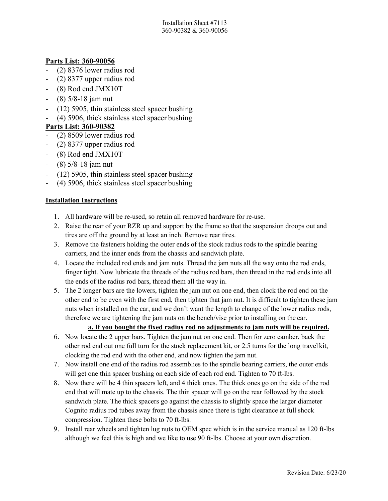Installation Sheet #7113 360-90382 & 360-90056

## **Parts List: 360-90056**

- (2) 8376 lower radius rod
- (2) 8377 upper radius rod
- (8) Rod end JMX10T
- (8) 5/8-18 jam nut
- $(12)$  5905, thin stainless steel spacer bushing
- (4) 5906, thick stainless steel spacer bushing

# **Parts List: 360-90382**

- (2) 8509 lower radius rod
- (2) 8377 upper radius rod
- (8) Rod end JMX10T
- (8) 5/8-18 jam nut
- $(12)$  5905, thin stainless steel spacer bushing
- $(4)$  5906, thick stainless steel spacer bushing

## **Installation Instructions**

- 1. All hardware will be re-used, so retain all removed hardware for re-use.
- 2. Raise the rear of your RZR up and support by the frame so that the suspension droops out and tires are off the ground by at least an inch. Remove rear tires.
- 3. Remove the fasteners holding the outer ends of the stock radius rods to the spindle bearing carriers, and the inner ends from the chassis and sandwich plate.
- 4. Locate the included rod ends and jam nuts. Thread the jam nuts all the way onto the rod ends, finger tight. Now lubricate the threads of the radius rod bars, then thread in the rod ends into all the ends of the radius rod bars, thread them all the way in.
- 5. The 2 longer bars are the lowers, tighten the jam nut on one end, then clock the rod end on the other end to be even with the first end, then tighten that jam nut. It is difficult to tighten these jam nuts when installed on the car, and we don't want the length to change of the lower radius rods, therefore we are tightening the jam nuts on the bench/vise prior to installing on the car.

#### **a. If you bought the fixed radius rod no adjustments to jam nuts will be required.**

- 6. Now locate the 2 upper bars. Tighten the jam nut on one end. Then for zero camber, back the other rod end out one full turn for the stock replacement kit, or 2.5 turns for the long travel kit, clocking the rod end with the other end, and now tighten the jam nut.
- 7. Now install one end of the radius rod assemblies to the spindle bearing carriers, the outer ends will get one thin spacer bushing on each side of each rod end. Tighten to 70 ft-lbs.
- 8. Now there will be 4 thin spacers left, and 4 thick ones. The thick ones go on the side of the rod end that will mate up to the chassis. The thin spacer will go on the rear followed by the stock sandwich plate. The thick spacers go against the chassis to slightly space the larger diameter Cognito radius rod tubes away from the chassis since there is tight clearance at full shock compression. Tighten these bolts to 70 ft-lbs.
- 9. Install rear wheels and tighten lug nuts to OEM spec which is in the service manual as 120 ft-lbs although we feel this is high and we like to use 90 ft-lbs. Choose at your own discretion.